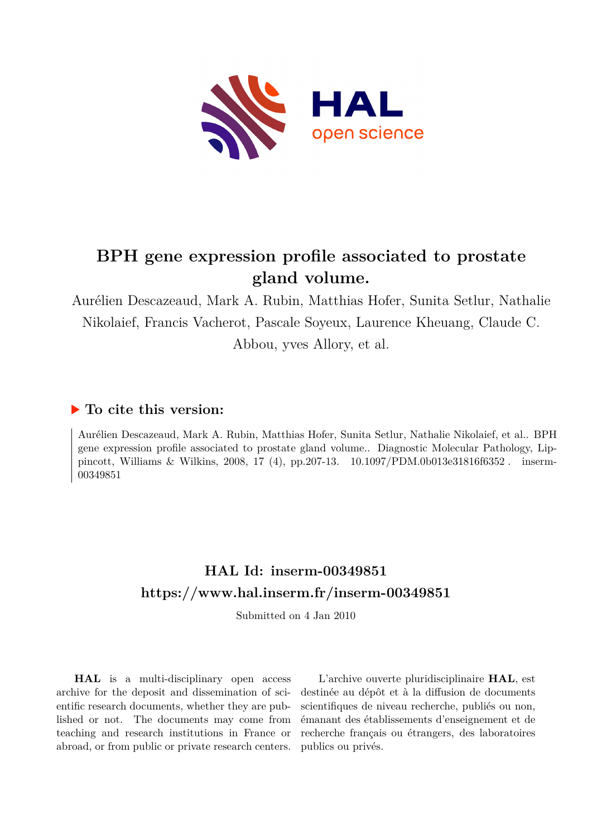

# **BPH gene expression profile associated to prostate gland volume.**

Aurélien Descazeaud, Mark A. Rubin, Matthias Hofer, Sunita Setlur, Nathalie Nikolaief, Francis Vacherot, Pascale Soyeux, Laurence Kheuang, Claude C. Abbou, yves Allory, et al.

# **To cite this version:**

Aurélien Descazeaud, Mark A. Rubin, Matthias Hofer, Sunita Setlur, Nathalie Nikolaief, et al.. BPH gene expression profile associated to prostate gland volume.. Diagnostic Molecular Pathology, Lippincott, Williams & Wilkins, 2008, 17 (4), pp.207-13. 10.1097/PDM.0b013e31816f6352. inserm-00349851

# **HAL Id: inserm-00349851 <https://www.hal.inserm.fr/inserm-00349851>**

Submitted on 4 Jan 2010

**HAL** is a multi-disciplinary open access archive for the deposit and dissemination of scientific research documents, whether they are published or not. The documents may come from teaching and research institutions in France or abroad, or from public or private research centers.

L'archive ouverte pluridisciplinaire **HAL**, est destinée au dépôt et à la diffusion de documents scientifiques de niveau recherche, publiés ou non, émanant des établissements d'enseignement et de recherche français ou étrangers, des laboratoires publics ou privés.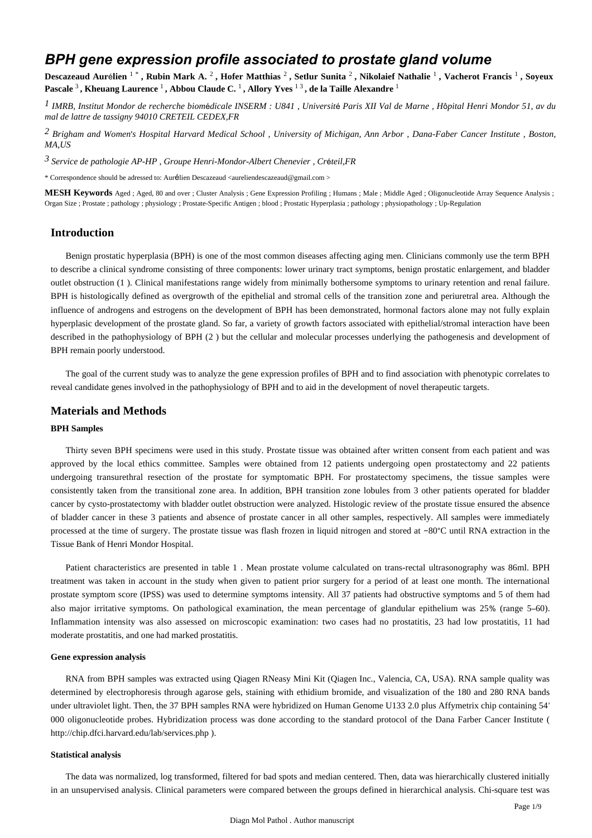# *BPH gene expression profile associated to prostate gland volume*

Descazeaud Aurélien <sup>1</sup>\*, Rubin Mark A. <sup>2</sup>, Hofer Matthias <sup>2</sup>, Setlur Sunita <sup>2</sup>, Nikolaief Nathalie <sup>1</sup>, Vacherot Francis <sup>1</sup>, Soyeux **Pascale** <sup>3</sup> **, Kheuang Laurence** <sup>1</sup> **, Abbou Claude C.** <sup>1</sup> **, Allory Yves** 1 3 **, de la Taille Alexandre** <sup>1</sup>

*IMRB, Institut Mondor de recherche biom dicale 1* <sup>é</sup> *INSERM : U841 , Universit*é *Paris XII Val de Marne , H*ô*pital Henri Mondor 51, av du mal de lattre de tassigny 94010 CRETEIL CEDEX,FR*

*Brigham and Women s Hospital 2*  ' *Harvard Medical School , University of Michigan, Ann Arbor , Dana-Faber Cancer Institute , Boston, MA,US*

*Service de pathologie 3 AP-HP , Groupe Henri-Mondor-Albert Chenevier , Cr*é*teil,FR*

\* Correspondence should be adressed to: Aurélien Descazeaud <aureliendescazeaud@gmail.com >

**MESH Keywords** Aged ; Aged, 80 and over ; Cluster Analysis ; Gene Expression Profiling ; Humans ; Male ; Middle Aged ; Oligonucleotide Array Sequence Analysis ; Organ Size ; Prostate ; pathology ; physiology ; Prostate-Specific Antigen ; blood ; Prostatic Hyperplasia ; pathology ; physiopathology ; Up-Regulation

## **Introduction**

Benign prostatic hyperplasia (BPH) is one of the most common diseases affecting aging men. Clinicians commonly use the term BPH to describe a clinical syndrome consisting of three components: lower urinary tract symptoms, benign prostatic enlargement, and bladder outlet obstruction (1 ). Clinical manifestations range widely from minimally bothersome symptoms to urinary retention and renal failure. BPH is histologically defined as overgrowth of the epithelial and stromal cells of the transition zone and periuretral area. Although the influence of androgens and estrogens on the development of BPH has been demonstrated, hormonal factors alone may not fully explain hyperplasic development of the prostate gland. So far, a variety of growth factors associated with epithelial/stromal interaction have been described in the pathophysiology of BPH (2 ) but the cellular and molecular processes underlying the pathogenesis and development of BPH remain poorly understood.

The goal of the current study was to analyze the gene expression profiles of BPH and to find association with phenotypic correlates to reveal candidate genes involved in the pathophysiology of BPH and to aid in the development of novel therapeutic targets.

### **Materials and Methods**

#### **BPH Samples**

Thirty seven BPH specimens were used in this study. Prostate tissue was obtained after written consent from each patient and was approved by the local ethics committee. Samples were obtained from 12 patients undergoing open prostatectomy and 22 patients undergoing transurethral resection of the prostate for symptomatic BPH. For prostatectomy specimens, the tissue samples were consistently taken from the transitional zone area. In addition, BPH transition zone lobules from 3 other patients operated for bladder cancer by cysto-prostatectomy with bladder outlet obstruction were analyzed. Histologic review of the prostate tissue ensured the absence of bladder cancer in these 3 patients and absence of prostate cancer in all other samples, respectively. All samples were immediately processed at the time of surgery. The prostate tissue was flash frozen in liquid nitrogen and stored at −80°C until RNA extraction in the Tissue Bank of Henri Mondor Hospital.

Patient characteristics are presented in table 1 . Mean prostate volume calculated on trans-rectal ultrasonography was 86ml. BPH treatment was taken in account in the study when given to patient prior surgery for a period of at least one month. The international prostate symptom score (IPSS) was used to determine symptoms intensity. All 37 patients had obstructive symptoms and 5 of them had also major irritative symptoms. On pathological examination, the mean percentage of glandular epithelium was 25% (range 5–60). Inflammation intensity was also assessed on microscopic examination: two cases had no prostatitis, 23 had low prostatitis, 11 had moderate prostatitis, and one had marked prostatitis.

#### **Gene expression analysis**

RNA from BPH samples was extracted using Qiagen RNeasy Mini Kit (Qiagen Inc., Valencia, CA, USA). RNA sample quality was determined by electrophoresis through agarose gels, staining with ethidium bromide, and visualization of the 180 and 280 RNA bands under ultraviolet light. Then, the 37 BPH samples RNA were hybridized on Human Genome U133 2.0 plus Affymetrix chip containing 54' 000 oligonucleotide probes. Hybridization process was done according to the standard protocol of the Dana Farber Cancer Institute ( http://chip.dfci.harvard.edu/lab/services.php ).

#### **Statistical analysis**

The data was normalized, log transformed, filtered for bad spots and median centered. Then, data was hierarchically clustered initially in an unsupervised analysis. Clinical parameters were compared between the groups defined in hierarchical analysis. Chi-square test was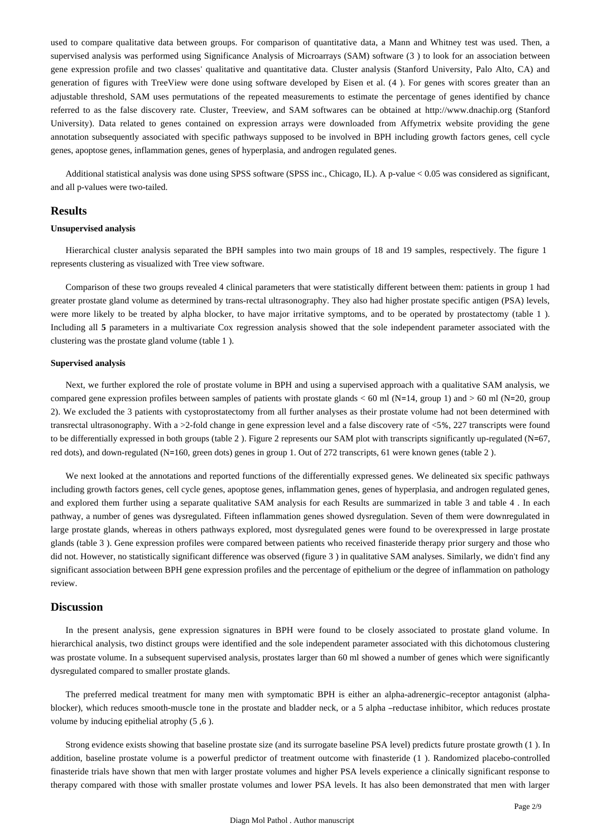used to compare qualitative data between groups. For comparison of quantitative data, a Mann and Whitney test was used. Then, a supervised analysis was performed using Significance Analysis of Microarrays (SAM) software (3 ) to look for an association between gene expression profile and two classes' qualitative and quantitative data. Cluster analysis (Stanford University, Palo Alto, CA) and generation of figures with TreeView were done using software developed by Eisen et al. (4 ). For genes with scores greater than an adjustable threshold, SAM uses permutations of the repeated measurements to estimate the percentage of genes identified by chance referred to as the false discovery rate. Cluster, Treeview, and SAM softwares can be obtained at http://www.dnachip.org (Stanford University). Data related to genes contained on expression arrays were downloaded from Affymetrix website providing the gene annotation subsequently associated with specific pathways supposed to be involved in BPH including growth factors genes, cell cycle genes, apoptose genes, inflammation genes, genes of hyperplasia, and androgen regulated genes.

Additional statistical analysis was done using SPSS software (SPSS inc., Chicago, IL). A p-value < 0.05 was considered as significant, and all p-values were two-tailed.

#### **Results**

#### **Unsupervised analysis**

Hierarchical cluster analysis separated the BPH samples into two main groups of 18 and 19 samples, respectively. The figure 1 represents clustering as visualized with Tree view software.

Comparison of these two groups revealed 4 clinical parameters that were statistically different between them: patients in group 1 had greater prostate gland volume as determined by trans-rectal ultrasonography. They also had higher prostate specific antigen (PSA) levels, were more likely to be treated by alpha blocker, to have major irritative symptoms, and to be operated by prostatectomy (table 1 ). Including all **5** parameters in a multivariate Cox regression analysis showed that the sole independent parameter associated with the clustering was the prostate gland volume (table 1 ).

#### **Supervised analysis**

Next, we further explored the role of prostate volume in BPH and using a supervised approach with a qualitative SAM analysis, we compared gene expression profiles between samples of patients with prostate glands  $<$  60 ml (N=14, group 1) and  $>$  60 ml (N=20, group 2). We excluded the 3 patients with cystoprostatectomy from all further analyses as their prostate volume had not been determined with transrectal ultrasonography. With a >2-fold change in gene expression level and a false discovery rate of <5%, 227 transcripts were found to be differentially expressed in both groups (table 2 ). Figure 2 represents our SAM plot with transcripts significantly up-regulated (N=67, red dots), and down-regulated (N=160, green dots) genes in group 1. Out of 272 transcripts, 61 were known genes (table 2 ).

We next looked at the annotations and reported functions of the differentially expressed genes. We delineated six specific pathways including growth factors genes, cell cycle genes, apoptose genes, inflammation genes, genes of hyperplasia, and androgen regulated genes, and explored them further using a separate qualitative SAM analysis for each Results are summarized in table 3 and table 4 . In each pathway, a number of genes was dysregulated. Fifteen inflammation genes showed dysregulation. Seven of them were downregulated in large prostate glands, whereas in others pathways explored, most dysregulated genes were found to be overexpressed in large prostate glands (table 3 ). Gene expression profiles were compared between patients who received finasteride therapy prior surgery and those who did not. However, no statistically significant difference was observed (figure 3 ) in qualitative SAM analyses. Similarly, we didn't find any significant association between BPH gene expression profiles and the percentage of epithelium or the degree of inflammation on pathology review.

#### **Discussion**

In the present analysis, gene expression signatures in BPH were found to be closely associated to prostate gland volume. In hierarchical analysis, two distinct groups were identified and the sole independent parameter associated with this dichotomous clustering was prostate volume. In a subsequent supervised analysis, prostates larger than 60 ml showed a number of genes which were significantly dysregulated compared to smaller prostate glands.

The preferred medical treatment for many men with symptomatic BPH is either an alpha-adrenergic–receptor antagonist (alphablocker), which reduces smooth-muscle tone in the prostate and bladder neck, or a 5 alpha –reductase inhibitor, which reduces prostate volume by inducing epithelial atrophy (5 ,6 ).

Strong evidence exists showing that baseline prostate size (and its surrogate baseline PSA level) predicts future prostate growth (1 ). In addition, baseline prostate volume is a powerful predictor of treatment outcome with finasteride (1 ). Randomized placebo-controlled finasteride trials have shown that men with larger prostate volumes and higher PSA levels experience a clinically significant response to therapy compared with those with smaller prostate volumes and lower PSA levels. It has also been demonstrated that men with larger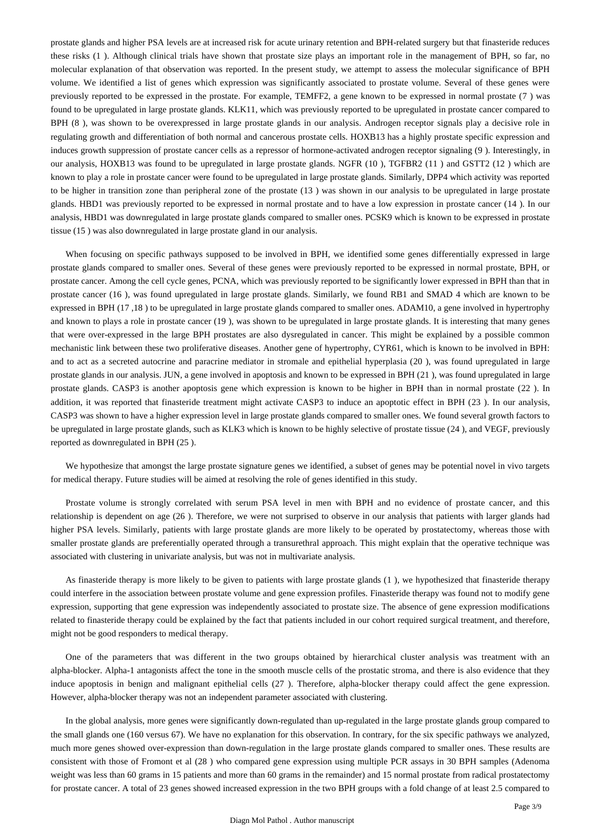prostate glands and higher PSA levels are at increased risk for acute urinary retention and BPH-related surgery but that finasteride reduces these risks (1 ). Although clinical trials have shown that prostate size plays an important role in the management of BPH, so far, no molecular explanation of that observation was reported. In the present study, we attempt to assess the molecular significance of BPH volume. We identified a list of genes which expression was significantly associated to prostate volume. Several of these genes were previously reported to be expressed in the prostate. For example, TEMFF2, a gene known to be expressed in normal prostate (7 ) was found to be upregulated in large prostate glands. KLK11, which was previously reported to be upregulated in prostate cancer compared to BPH (8 ), was shown to be overexpressed in large prostate glands in our analysis. Androgen receptor signals play a decisive role in regulating growth and differentiation of both normal and cancerous prostate cells. HOXB13 has a highly prostate specific expression and induces growth suppression of prostate cancer cells as a repressor of hormone-activated androgen receptor signaling (9 ). Interestingly, in our analysis, HOXB13 was found to be upregulated in large prostate glands. NGFR (10 ), TGFBR2 (11 ) and GSTT2 (12 ) which are known to play a role in prostate cancer were found to be upregulated in large prostate glands. Similarly, DPP4 which activity was reported to be higher in transition zone than peripheral zone of the prostate (13 ) was shown in our analysis to be upregulated in large prostate glands. HBD1 was previously reported to be expressed in normal prostate and to have a low expression in prostate cancer (14 ). In our analysis, HBD1 was downregulated in large prostate glands compared to smaller ones. PCSK9 which is known to be expressed in prostate tissue (15 ) was also downregulated in large prostate gland in our analysis.

When focusing on specific pathways supposed to be involved in BPH, we identified some genes differentially expressed in large prostate glands compared to smaller ones. Several of these genes were previously reported to be expressed in normal prostate, BPH, or prostate cancer. Among the cell cycle genes, PCNA, which was previously reported to be significantly lower expressed in BPH than that in prostate cancer (16 ), was found upregulated in large prostate glands. Similarly, we found RB1 and SMAD 4 which are known to be expressed in BPH (17 ,18 ) to be upregulated in large prostate glands compared to smaller ones. ADAM10, a gene involved in hypertrophy and known to plays a role in prostate cancer (19 ), was shown to be upregulated in large prostate glands. It is interesting that many genes that were over-expressed in the large BPH prostates are also dysregulated in cancer. This might be explained by a possible common mechanistic link between these two proliferative diseases. Another gene of hypertrophy, CYR61, which is known to be involved in BPH: and to act as a secreted autocrine and paracrine mediator in stromale and epithelial hyperplasia (20 ), was found upregulated in large prostate glands in our analysis. JUN, a gene involved in apoptosis and known to be expressed in BPH (21 ), was found upregulated in large prostate glands. CASP3 is another apoptosis gene which expression is known to be higher in BPH than in normal prostate (22 ). In addition, it was reported that finasteride treatment might activate CASP3 to induce an apoptotic effect in BPH (23 ). In our analysis, CASP3 was shown to have a higher expression level in large prostate glands compared to smaller ones. We found several growth factors to be upregulated in large prostate glands, such as KLK3 which is known to be highly selective of prostate tissue (24 ), and VEGF, previously reported as downregulated in BPH (25 ).

We hypothesize that amongst the large prostate signature genes we identified, a subset of genes may be potential novel in vivo targets for medical therapy. Future studies will be aimed at resolving the role of genes identified in this study.

Prostate volume is strongly correlated with serum PSA level in men with BPH and no evidence of prostate cancer, and this relationship is dependent on age (26 ). Therefore, we were not surprised to observe in our analysis that patients with larger glands had higher PSA levels. Similarly, patients with large prostate glands are more likely to be operated by prostatectomy, whereas those with smaller prostate glands are preferentially operated through a transurethral approach. This might explain that the operative technique was associated with clustering in univariate analysis, but was not in multivariate analysis.

As finasteride therapy is more likely to be given to patients with large prostate glands (1 ), we hypothesized that finasteride therapy could interfere in the association between prostate volume and gene expression profiles. Finasteride therapy was found not to modify gene expression, supporting that gene expression was independently associated to prostate size. The absence of gene expression modifications related to finasteride therapy could be explained by the fact that patients included in our cohort required surgical treatment, and therefore, might not be good responders to medical therapy.

One of the parameters that was different in the two groups obtained by hierarchical cluster analysis was treatment with an alpha-blocker. Alpha-1 antagonists affect the tone in the smooth muscle cells of the prostatic stroma, and there is also evidence that they induce apoptosis in benign and malignant epithelial cells (27 ). Therefore, alpha-blocker therapy could affect the gene expression. However, alpha-blocker therapy was not an independent parameter associated with clustering.

In the global analysis, more genes were significantly down-regulated than up-regulated in the large prostate glands group compared to the small glands one (160 versus 67). We have no explanation for this observation. In contrary, for the six specific pathways we analyzed, much more genes showed over-expression than down-regulation in the large prostate glands compared to smaller ones. These results are consistent with those of Fromont et al (28 ) who compared gene expression using multiple PCR assays in 30 BPH samples (Adenoma weight was less than 60 grams in 15 patients and more than 60 grams in the remainder) and 15 normal prostate from radical prostatectomy for prostate cancer. A total of 23 genes showed increased expression in the two BPH groups with a fold change of at least 2.5 compared to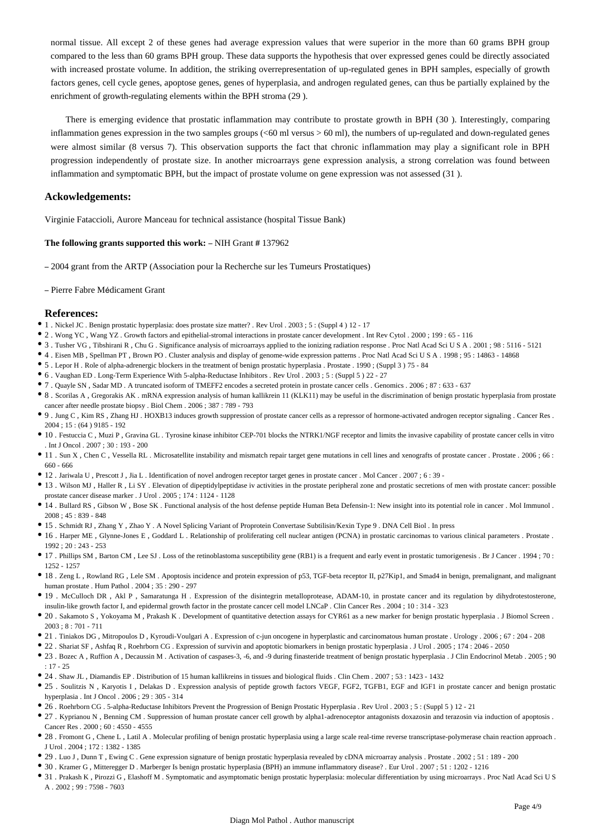normal tissue. All except 2 of these genes had average expression values that were superior in the more than 60 grams BPH group compared to the less than 60 grams BPH group. These data supports the hypothesis that over expressed genes could be directly associated with increased prostate volume. In addition, the striking overrepresentation of up-regulated genes in BPH samples, especially of growth factors genes, cell cycle genes, apoptose genes, genes of hyperplasia, and androgen regulated genes, can thus be partially explained by the enrichment of growth-regulating elements within the BPH stroma (29 ).

There is emerging evidence that prostatic inflammation may contribute to prostate growth in BPH (30 ). Interestingly, comparing inflammation genes expression in the two samples groups (<60 ml versus > 60 ml), the numbers of up-regulated and down-regulated genes were almost similar (8 versus 7). This observation supports the fact that chronic inflammation may play a significant role in BPH progression independently of prostate size. In another microarrays gene expression analysis, a strong correlation was found between inflammation and symptomatic BPH, but the impact of prostate volume on gene expression was not assessed (31 ).

#### **Ackowledgements:**

Virginie Fataccioli, Aurore Manceau for technical assistance (hospital Tissue Bank)

#### **The following grants supported this work:** – NIH Grant # 137962

– 2004 grant from the ARTP (Association pour la Recherche sur les Tumeurs Prostatiques)

#### – Pierre Fabre Médicament Grant

#### **References:**

- 1 . Nickel JC . Benign prostatic hyperplasia: does prostate size matter? . Rev Urol . 2003 ; 5 : (Suppl 4 ) 12 17
- 2 . Wong YC , Wang YZ . Growth factors and epithelial-stromal interactions in prostate cancer development . Int Rev Cytol . 2000 ; 199 : 65 116
- 3 . Tusher VG , Tibshirani R , Chu G . Significance analysis of microarrays applied to the ionizing radiation response . Proc Natl Acad Sci U S A . 2001 ; 98 : 5116 5121
- 4 . Eisen MB , Spellman PT , Brown PO . Cluster analysis and display of genome-wide expression patterns . Proc Natl Acad Sci U S A . 1998 ; 95 : 14863 14868
- 5 . Lepor H . Role of alpha-adrenergic blockers in the treatment of benign prostatic hyperplasia . Prostate . 1990 ; (Suppl 3 ) 75 84
- 6 . Vaughan ED . Long-Term Experience With 5-alpha-Reductase Inhibitors . Rev Urol . 2003 ; 5 : (Suppl 5 ) 22 27
- 7 . Quayle SN , Sadar MD . A truncated isoform of TMEFF2 encodes a secreted protein in prostate cancer cells . Genomics . 2006 ; 87 : 633 637
- 8 . Scorilas A , Gregorakis AK . mRNA expression analysis of human kallikrein 11 (KLK11) may be useful in the discrimination of benign prostatic hyperplasia from prostate cancer after needle prostate biopsy . Biol Chem . 2006 ; 387 : 789 - 793
- 9 . Jung C , Kim RS , Zhang HJ . HOXB13 induces growth suppression of prostate cancer cells as a repressor of hormone-activated androgen receptor signaling . Cancer Res .  $2004 \cdot 15 \cdot (64)$  9185 - 192
- 10 . Festuccia C , Muzi P , Gravina GL . Tyrosine kinase inhibitor CEP-701 blocks the NTRK1/NGF receptor and limits the invasive capability of prostate cancer cells in vitro Int J Oncol  $.2007 \cdot 30 \cdot 193 = 200$
- 11 . Sun X, Chen C, Vessella RL. Microsatellite instability and mismatch repair target gene mutations in cell lines and xenografts of prostate cancer. Prostate . 2006 ; 66 : 660 - 666
- 12 . Jariwala U , Prescott J , Jia L . Identification of novel androgen receptor target genes in prostate cancer . Mol Cancer . 2007 ; 6 : 39 -
- 13 . Wilson MJ , Haller R , Li SY . Elevation of dipeptidylpeptidase iv activities in the prostate peripheral zone and prostatic secretions of men with prostate cancer: possible prostate cancer disease marker . J Urol . 2005 ; 174 : 1124 - 1128
- 14 . Bullard RS , Gibson W , Bose SK . Functional analysis of the host defense peptide Human Beta Defensin-1: New insight into its potential role in cancer . Mol Immunol . 2008 ; 45 : 839 - 848
- 15 . Schmidt RJ , Zhang Y , Zhao Y . A Novel Splicing Variant of Proprotein Convertase Subtilisin/Kexin Type 9 . DNA Cell Biol . In press
- 16 . Harper ME , Glynne-Jones E , Goddard L . Relationship of proliferating cell nuclear antigen (PCNA) in prostatic carcinomas to various clinical parameters . Prostate . 1992 ; 20 : 243 - 253
- 17 . Phillips SM , Barton CM , Lee SJ . Loss of the retinoblastoma susceptibility gene (RB1) is a frequent and early event in prostatic tumorigenesis . Br J Cancer . 1994 ; 70 : 1252 - 1257
- 18 . Zeng L , Rowland RG , Lele SM . Apoptosis incidence and protein expression of p53, TGF-beta receptor II, p27Kip1, and Smad4 in benign, premalignant, and malignant human prostate . Hum Pathol . 2004 ; 35 : 290 - 297
- 19 . McCulloch DR , Akl P , Samaratunga H . Expression of the disintegrin metalloprotease, ADAM-10, in prostate cancer and its regulation by dihydrotestosterone, insulin-like growth factor I, and epidermal growth factor in the prostate cancer cell model LNCaP . Clin Cancer Res . 2004 ; 10 : 314 - 323
- 20 . Sakamoto S , Yokoyama M , Prakash K . Development of quantitative detection assays for CYR61 as a new marker for benign prostatic hyperplasia . J Biomol Screen . 2003 ; 8 : 701 - 711
- 21 . Tiniakos DG , Mitropoulos D , Kyroudi-Voulgari A . Expression of c-jun oncogene in hyperplastic and carcinomatous human prostate . Urology . 2006 ; 67 : 204 208
- 22 . Shariat SF , Ashfaq R , Roehrborn CG . Expression of survivin and apoptotic biomarkers in benign prostatic hyperplasia . J Urol . 2005 ; 174 : 2046 2050
- 23 . Bozec A , Ruffion A , Decaussin M . Activation of caspases-3, -6, and -9 during finasteride treatment of benign prostatic hyperplasia . J Clin Endocrinol Metab . 2005 ; 90  $\cdot$  17 - 25
- 24 . Shaw JL , Diamandis EP . Distribution of 15 human kallikreins in tissues and biological fluids . Clin Chem . 2007 ; 53 : 1423 1432
- 25 . Soulitzis N, Karyotis I, Delakas D. Expression analysis of peptide growth factors VEGF, FGF2, TGFB1, EGF and IGF1 in prostate cancer and benign prostatic hyperplasia . Int J Oncol . 2006 ; 29 : 305 - 314
- 26 . Roehrborn CG . 5-alpha-Reductase Inhibitors Prevent the Progression of Benign Prostatic Hyperplasia . Rev Urol . 2003 ; 5 : (Suppl 5 ) 12 21
- 27 . Kyprianou N , Benning CM . Suppression of human prostate cancer cell growth by alpha1-adrenoceptor antagonists doxazosin and terazosin via induction of apoptosis . Cancer Res . 2000 ; 60 : 4550 - 4555
- 28 . Fromont G , Chene L , Latil A . Molecular profiling of benign prostatic hyperplasia using a large scale real-time reverse transcriptase-polymerase chain reaction approach . J Urol . 2004 ; 172 : 1382 - 1385
- 29 . Luo J , Dunn T , Ewing C . Gene expression signature of benign prostatic hyperplasia revealed by cDNA microarray analysis . Prostate . 2002 ; 51 : 189 200
- 30 . Kramer G , Mitteregger D . Marberger Is benign prostatic hyperplasia (BPH) an immune inflammatory disease? . Eur Urol . 2007 ; 51 : 1202 1216
- 31 . Prakash K , Pirozzi G , Elashoff M . Symptomatic and asymptomatic benign prostatic hyperplasia: molecular differentiation by using microarrays . Proc Natl Acad Sci U S A . 2002 ; 99 : 7598 - 7603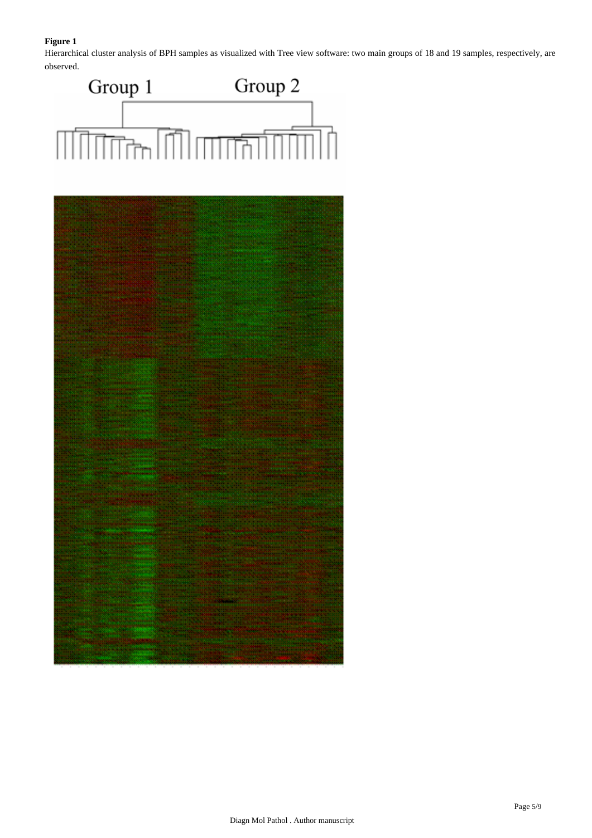# **Figure 1**

Hierarchical cluster analysis of BPH samples as visualized with Tree view software: two main groups of 18 and 19 samples, respectively, are observed.



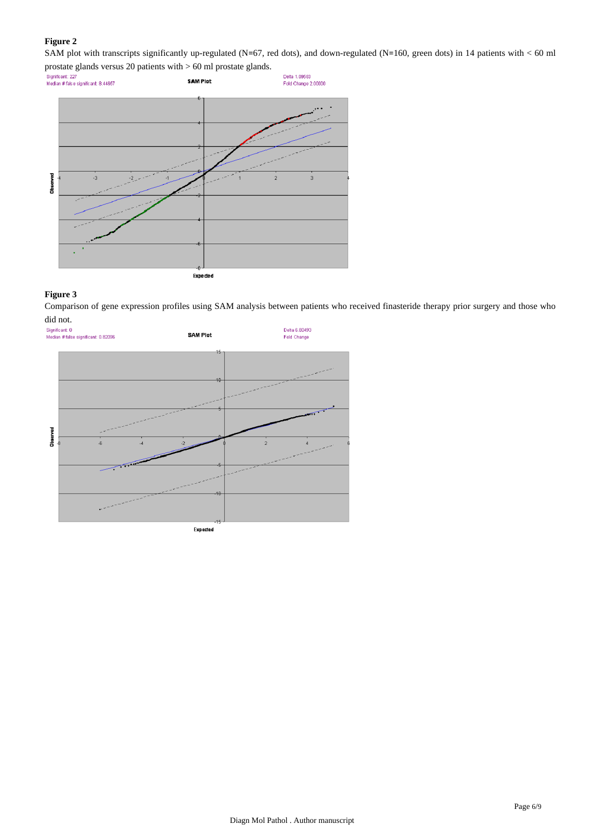# **Figure 2**

SAM plot with transcripts significantly up-regulated (N=67, red dots), and down-regulated (N=160, green dots) in 14 patients with < 60 ml



## **Figure 3**

Comparison of gene expression profiles using SAM analysis between patients who received finasteride therapy prior surgery and those who

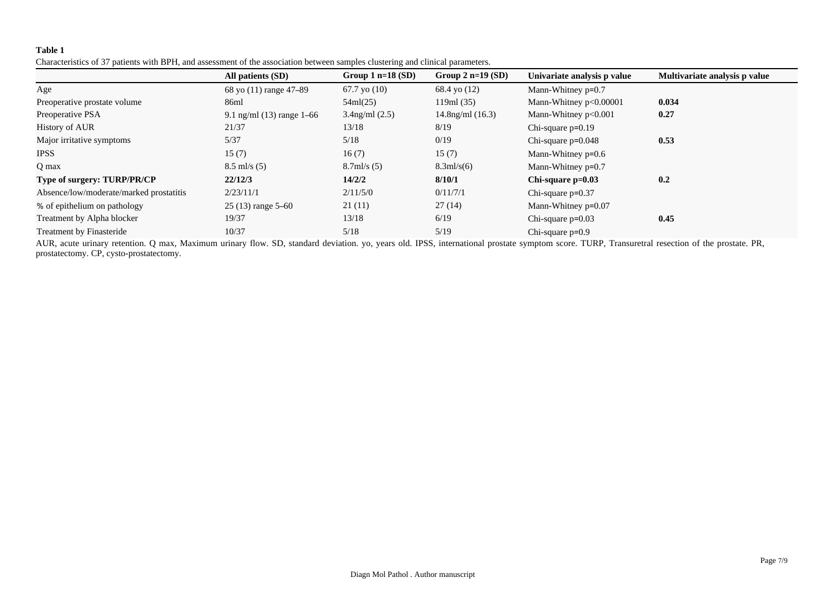## **Table 1**

| Characteristics of 37 patients with BPH, and assessment of the association between samples clustering and clinical parameters. |  |  |  |
|--------------------------------------------------------------------------------------------------------------------------------|--|--|--|
|--------------------------------------------------------------------------------------------------------------------------------|--|--|--|

|                                         | All patients (SD)           | Group $1$ n=18 (SD)   | Group $2$ n=19 (SD)   | Univariate analysis p value | Multivariate analysis p value |
|-----------------------------------------|-----------------------------|-----------------------|-----------------------|-----------------------------|-------------------------------|
| Age                                     | 68 yo (11) range 47-89      | $67.7$ yo $(10)$      | 68.4 yo (12)          | Mann-Whitney $p=0.7$        |                               |
| Preoperative prostate volume            | 86ml                        | 54ml(25)              | 119ml (35)            | Mann-Whitney $p<0.00001$    | 0.034                         |
| Preoperative PSA                        | 9.1 ng/ml $(13)$ range 1–66 | $3.4$ ng/ml $(2.5)$   | $14.8$ ng/ml $(16.3)$ | Mann-Whitney p<0.001        | 0.27                          |
| <b>History of AUR</b>                   | 21/37                       | 13/18                 | 8/19                  | Chi-square $p=0.19$         |                               |
| Major irritative symptoms               | 5/37                        | 5/18                  | 0/19                  | Chi-square $p=0.048$        | 0.53                          |
| <b>IPSS</b>                             | 15(7)                       | 16(7)                 | 15(7)                 | Mann-Whitney $p=0.6$        |                               |
| Q max                                   | $8.5$ ml/s $(5)$            | $8.7 \text{ml/s} (5)$ | $8.3 \text{ml/s}(6)$  | Mann-Whitney $p=0.7$        |                               |
| Type of surgery: TURP/PR/CP             | 22/12/3                     | 14/2/2                | 8/10/1                | $Chi$ -square $p=0.03$      | 0.2                           |
| Absence/low/moderate/marked prostatitis | 2/23/11/1                   | 2/11/5/0              | 0/11/7/1              | Chi-square $p=0.37$         |                               |
| % of epithelium on pathology            | $25(13)$ range $5-60$       | 21(11)                | 27(14)                | Mann-Whitney $p=0.07$       |                               |
| Treatment by Alpha blocker              | 19/37                       | 13/18                 | 6/19                  | Chi-square $p=0.03$         | 0.45                          |
| Treatment by Finasteride                | 10/37                       | 5/18                  | 5/19                  | Chi-square $p=0.9$          |                               |

AUR, acute urinary retention. Q max, Maximum urinary flow. SD, standard deviation. yo, years old. IPSS, international prostate symptom score. TURP, Transuretral resection of the prostate. PR, prostatectomy. CP, cysto-prostatectomy.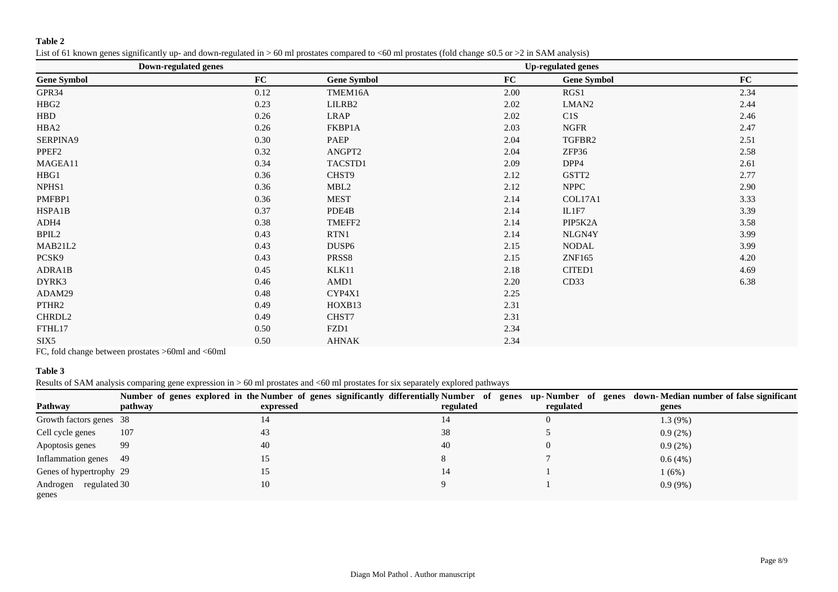# **Table 2**

List of 61 known genes significantly up- and down-regulated in > 60 ml prostates compared to <60 ml prostates (fold change ≤0.5 or >2 in SAM analysis)

|                    | <b>Down-regulated genes</b> | <b>Up-regulated genes</b> |      |                    |      |  |  |
|--------------------|-----------------------------|---------------------------|------|--------------------|------|--|--|
| <b>Gene Symbol</b> | FC                          | <b>Gene Symbol</b>        | FC   | <b>Gene Symbol</b> | FC   |  |  |
| GPR34              | 0.12                        | TMEM16A                   | 2.00 | RGS1               | 2.34 |  |  |
| HBG <sub>2</sub>   | 0.23                        | LILRB2                    | 2.02 | LMAN <sub>2</sub>  | 2.44 |  |  |
| <b>HBD</b>         | 0.26                        | <b>LRAP</b>               | 2.02 | C1S                | 2.46 |  |  |
| HBA2               | 0.26                        | FKBP1A                    | 2.03 | <b>NGFR</b>        | 2.47 |  |  |
| SERPINA9           | 0.30                        | PAEP                      | 2.04 | TGFBR2             | 2.51 |  |  |
| PPEF <sub>2</sub>  | 0.32                        | ANGPT2                    | 2.04 | ZFP36              | 2.58 |  |  |
| MAGEA11            | 0.34                        | TACSTD1                   | 2.09 | DPP4               | 2.61 |  |  |
| HBG1               | 0.36                        | CHST9                     | 2.12 | GSTT2              | 2.77 |  |  |
| NPHS1              | 0.36                        | MBL <sub>2</sub>          | 2.12 | <b>NPPC</b>        | 2.90 |  |  |
| PMFBP1             | 0.36                        | <b>MEST</b>               | 2.14 | COL17A1            | 3.33 |  |  |
| HSPA1B             | 0.37                        | PDE4B                     | 2.14 | IL1F7              | 3.39 |  |  |
| ADH4               | 0.38                        | TMEFF2                    | 2.14 | PIP5K2A            | 3.58 |  |  |
| BPIL2              | 0.43                        | RTN1                      | 2.14 | NLGN4Y             | 3.99 |  |  |
| MAB21L2            | 0.43                        | DUSP <sub>6</sub>         | 2.15 | <b>NODAL</b>       | 3.99 |  |  |
| PCSK9              | 0.43                        | PRSS8                     | 2.15 | ZNF165             | 4.20 |  |  |
| ADRA1B             | 0.45                        | KLK11                     | 2.18 | CITED1             | 4.69 |  |  |
| DYRK3              | 0.46                        | AMD1                      | 2.20 | CD33               | 6.38 |  |  |
| ADAM29             | 0.48                        | CYP4X1                    | 2.25 |                    |      |  |  |
| PTHR2              | 0.49                        | HOXB13                    | 2.31 |                    |      |  |  |
| CHRDL2             | 0.49                        | CHST7                     | 2.31 |                    |      |  |  |
| FTHL17             | 0.50                        | FZD1                      | 2.34 |                    |      |  |  |
| SIX5               | 0.50                        | <b>AHNAK</b>              | 2.34 |                    |      |  |  |
|                    |                             |                           |      |                    |      |  |  |

FC, fold change between prostates >60ml and <60ml

# **Table 3**

Results of SAM analysis comparing gene expression in > 60 ml prostates and <60 ml prostates for six separately explored pathways

|                         |         |           |           |           | Number of genes explored in the Number of genes significantly differentially Number of genes up-Number of genes down-Median number of false significant |
|-------------------------|---------|-----------|-----------|-----------|---------------------------------------------------------------------------------------------------------------------------------------------------------|
| Pathway                 | pathway | expressed | regulated | regulated | genes                                                                                                                                                   |
| Growth factors genes 38 |         | 14        | 14        | U         | 1.3(9%)                                                                                                                                                 |
| Cell cycle genes        | 107     | 43        | 38        |           | 0.9(2%)                                                                                                                                                 |
| Apoptosis genes         | -99     | 40        | 40        |           | 0.9(2%)                                                                                                                                                 |
| Inflammation genes 49   |         | 15        | ◠         |           | 0.6(4%)                                                                                                                                                 |
| Genes of hypertrophy 29 |         | 15        | 14        |           | 1(6%)                                                                                                                                                   |
| Androgen regulated 30   |         | 10        |           |           | $0.9(9\%)$                                                                                                                                              |
| genes                   |         |           |           |           |                                                                                                                                                         |